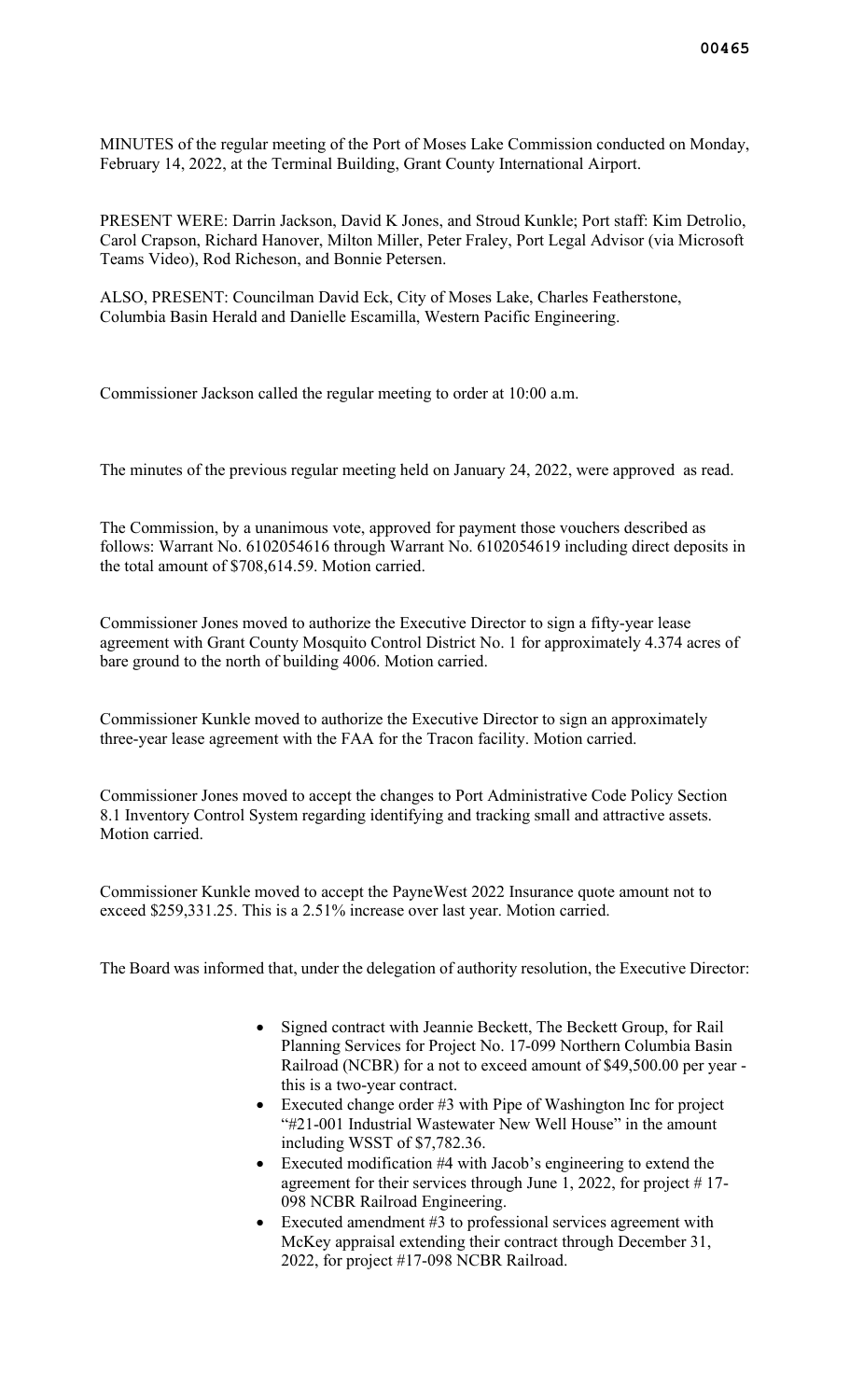MINUTES of the regular meeting of the Port of Moses Lake Commission conducted on Monday, February 14, 2022, at the Terminal Building, Grant County International Airport.

PRESENT WERE: Darrin Jackson, David K Jones, and Stroud Kunkle; Port staff: Kim Detrolio, Carol Crapson, Richard Hanover, Milton Miller, Peter Fraley, Port Legal Advisor (via Microsoft Teams Video), Rod Richeson, and Bonnie Petersen.

ALSO, PRESENT: Councilman David Eck, City of Moses Lake, Charles Featherstone, Columbia Basin Herald and Danielle Escamilla, Western Pacific Engineering.

Commissioner Jackson called the regular meeting to order at 10:00 a.m.

The minutes of the previous regular meeting held on January 24, 2022, were approved as read.

The Commission, by a unanimous vote, approved for payment those vouchers described as follows: Warrant No. 6102054616 through Warrant No. 6102054619 including direct deposits in the total amount of \$708,614.59. Motion carried.

Commissioner Jones moved to authorize the Executive Director to sign a fifty-year lease agreement with Grant County Mosquito Control District No. 1 for approximately 4.374 acres of bare ground to the north of building 4006. Motion carried.

Commissioner Kunkle moved to authorize the Executive Director to sign an approximately three-year lease agreement with the FAA for the Tracon facility. Motion carried.

Commissioner Jones moved to accept the changes to Port Administrative Code Policy Section 8.1 Inventory Control System regarding identifying and tracking small and attractive assets. Motion carried.

Commissioner Kunkle moved to accept the PayneWest 2022 Insurance quote amount not to exceed \$259,331.25. This is a 2.51% increase over last year. Motion carried.

The Board was informed that, under the delegation of authority resolution, the Executive Director:

- Signed contract with Jeannie Beckett, The Beckett Group, for Rail Planning Services for Project No. 17-099 Northern Columbia Basin Railroad (NCBR) for a not to exceed amount of \$49,500.00 per year this is a two-year contract.
- Executed change order #3 with Pipe of Washington Inc for project "#21-001 Industrial Wastewater New Well House" in the amount including WSST of \$7,782.36.
- Executed modification #4 with Jacob's engineering to extend the agreement for their services through June 1, 2022, for project # 17- 098 NCBR Railroad Engineering.
- Executed amendment #3 to professional services agreement with McKey appraisal extending their contract through December 31, 2022, for project #17-098 NCBR Railroad.